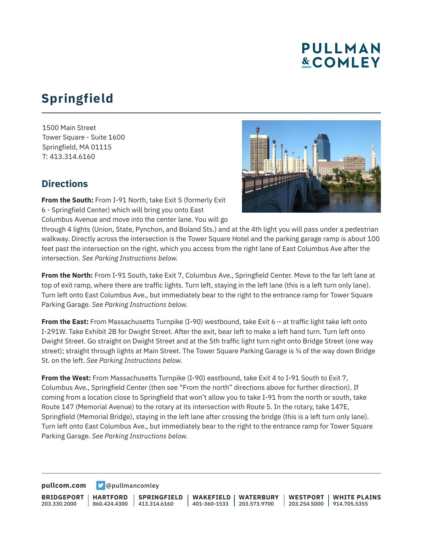## **PULLMAN &COMLEY**

## **Springfield**

1500 Main Street Tower Square - Suite 1600 Springfield, MA 01115 T: 413.314.6160

## **Directions**



**From the South:** From I-91 North, take Exit 5 (formerly Exit 6 - Springfield Center) which will bring you onto East Columbus Avenue and move into the center lane. You will go

through 4 lights (Union, State, Pynchon, and Boland Sts.) and at the 4th light you will pass under a pedestrian walkway. Directly across the intersection is the Tower Square Hotel and the parking garage ramp is about 100 feet past the intersection on the right, which you access from the right lane of East Columbus Ave after the intersection. *See Parking Instructions below.*

**From the North:** From I-91 South, take Exit 7, Columbus Ave., Springfield Center. Move to the far left lane at top of exit ramp, where there are traffic lights. Turn left, staying in the left lane (this is a left turn only lane). Turn left onto East Columbus Ave., but immediately bear to the right to the entrance ramp for Tower Square Parking Garage. *See Parking Instructions below.*

**From the East:** From Massachusetts Turnpike (I-90) westbound, take Exit 6 – at traffic light take left onto I-291W. Take Exhibit 2B for Dwight Street. After the exit, bear left to make a left hand turn. Turn left onto Dwight Street. Go straight on Dwight Street and at the 5th traffic light turn right onto Bridge Street (one way street); straight through lights at Main Street. The Tower Square Parking Garage is ¾ of the way down Bridge St. on the left. *See Parking Instructions below.*

**From the West:** From Massachusetts Turnpike (I-90) eastbound, take Exit 4 to I-91 South to Exit 7, Columbus Ave., Springfield Center (then see "From the north" directions above for further direction). If coming from a location close to Springfield that won't allow you to take I-91 from the north or south, take Route 147 (Memorial Avenue) to the rotary at its intersection with Route 5. In the rotary, take 147E, Springfield (Memorial Bridge), staying in the left lane after crossing the bridge (this is a left turn only lane). Turn left onto East Columbus Ave., but immediately bear to the right to the entrance ramp for Tower Square Parking Garage. *See Parking Instructions below.*

**[pullcom.com](https://www.pullcom.com) g** [@pullmancomley](https://twitter.com/PullmanComley)

**BRIDGEPORT** 203.330.2000 **HARTFORD** 860.424.4300 **SPRINGFIELD**  $1413.314.6160$ **WAKEFIELD** 401-360-1533 203.573.9700 **WATERBURY WESTPORT** 203.254.5000 914.705.5355 **WHITE PLAINS**